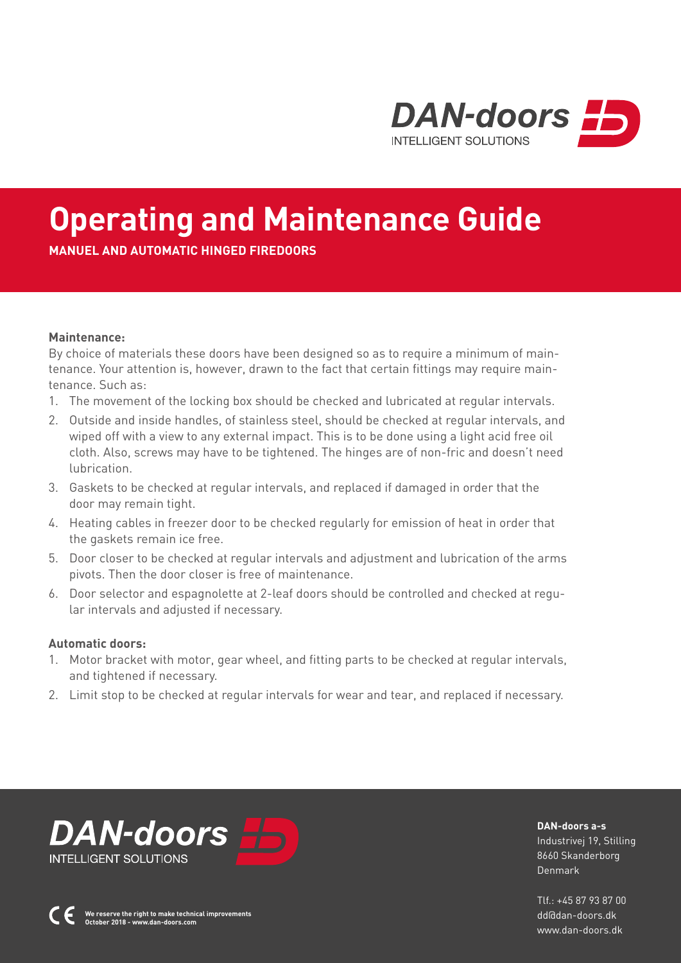

# **Operating and Maintenance Guide**

**MANUEL AND AUTOMATIC HINGED FIREDOORS** 

#### **Maintenance:**

By choice of materials these doors have been designed so as to require a minimum of maintenance. Your attention is, however, drawn to the fact that certain fittings may require maintenance. Such as:

- 1. The movement of the locking box should be checked and lubricated at regular intervals.
- 2. Outside and inside handles, of stainless steel, should be checked at regular intervals, and wiped off with a view to any external impact. This is to be done using a light acid free oil cloth. Also, screws may have to be tightened. The hinges are of non-fric and doesn't need lubrication.
- 3. Gaskets to be checked at regular intervals, and replaced if damaged in order that the door may remain tight.
- 4. Heating cables in freezer door to be checked regularly for emission of heat in order that the gaskets remain ice free.
- 5. Door closer to be checked at regular intervals and adjustment and lubrication of the arms pivots. Then the door closer is free of maintenance.
- 6. Door selector and espagnolette at 2-leaf doors should be controlled and checked at regular intervals and adjusted if necessary.

#### **Automatic doors:**

- 1. Motor bracket with motor, gear wheel, and fitting parts to be checked at regular intervals, and tightened if necessary.
- 2. Limit stop to be checked at regular intervals for wear and tear, and replaced if necessary.



**We reserve the right to make technical improvements October 2018 - www.dan-doors.com**

**DAN-doors a-s** Industrivej 19, Stilling 8660 Skanderborg Denmark

 $TIf + 4587938700$ dd@dan-doors.dk www.dan-doors.dk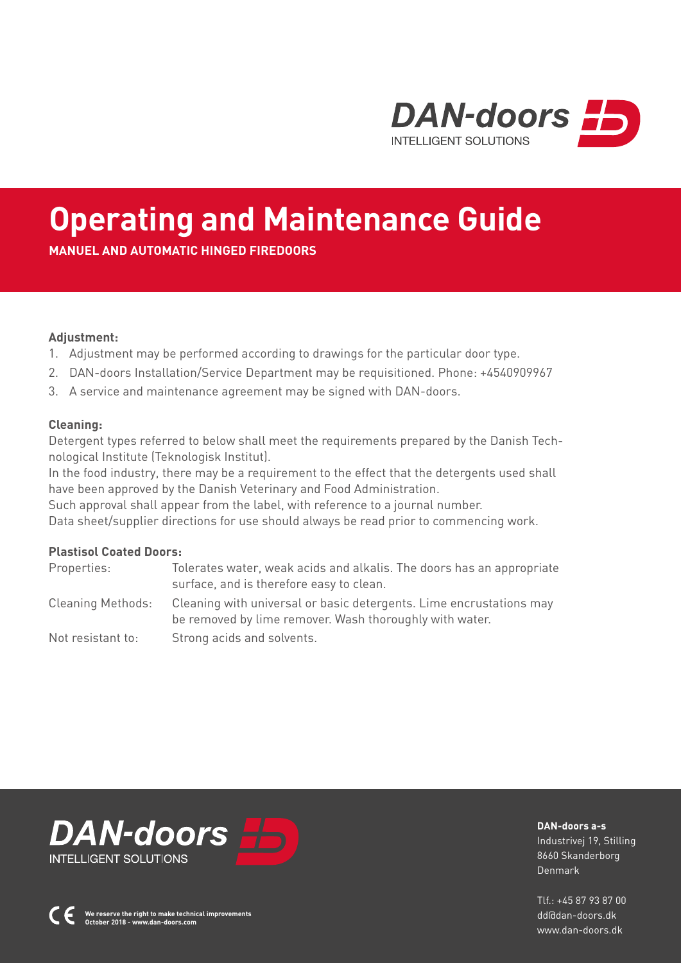

# **Operating and Maintenance Guide**

**MANUEL AND AUTOMATIC HINGED FIREDOORS**

### **Adjustment:**

- 1. Adjustment may be performed according to drawings for the particular door type.
- 2. DAN-doors Installation/Service Department may be requisitioned. Phone: +4540909967
- 3. A service and maintenance agreement may be signed with DAN-doors.

### **Cleaning:**

Detergent types referred to below shall meet the requirements prepared by the Danish Technological Institute (Teknologisk Institut).

In the food industry, there may be a requirement to the effect that the detergents used shall have been approved by the Danish Veterinary and Food Administration.

Such approval shall appear from the label, with reference to a journal number. Data sheet/supplier directions for use should always be read prior to commencing work.

### **Plastisol Coated Doors:**

| Properties:              | Tolerates water, weak acids and alkalis. The doors has an appropriate<br>surface, and is therefore easy to clean.              |
|--------------------------|--------------------------------------------------------------------------------------------------------------------------------|
| <b>Cleaning Methods:</b> | Cleaning with universal or basic detergents. Lime encrustations may<br>be removed by lime remover. Wash thoroughly with water. |
| Not resistant to:        | Strong acids and solvents.                                                                                                     |



**DAN-doors a-s** Industrivej 19, Stilling 8660 Skanderborg

Denmark

 $T1f \cdot 4587938700$ dd@dan-doors.dk www.dan-doors.dk

**We reserve the right to make technical improvements October 2018 - www.dan-doors.com**